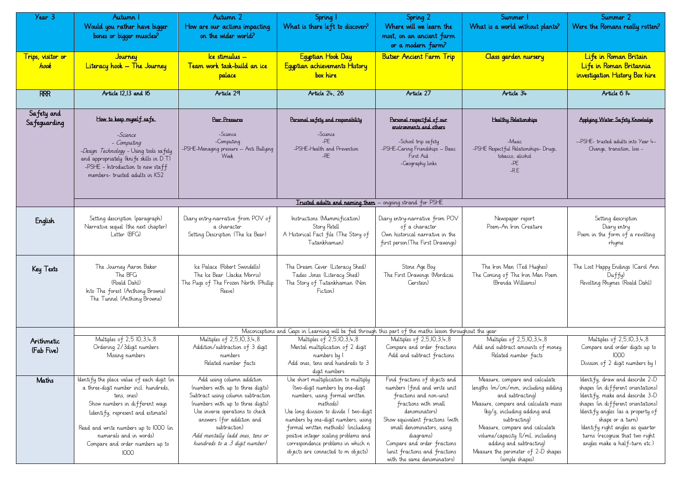| Year 3<br>Trips, visitor or<br>hook | Autumn I<br>Would you rather have bigger<br>bones or bigger muscles?<br>Journey<br>Literacy hook - The Journey                                                                                                                                                                          | Autumn 2<br>How are our actions impacting<br>on the wider world?<br>Ice stimulus —<br><u>Team work task-build an ice </u><br><u>palace</u>                                                                                                                                                   | Spring 1<br>What is there left to discover?<br>Equptian Hook Day<br>Equptian achievements History<br>box hire                                                                                                                                                                                                                                                      | Spring 2<br>Where will we learn the<br>most, on an ancient farm<br>or a modern farm?<br><b>Butser Ancient Farm Trip</b>                                                                                                                                                                                      | Summer 1<br>What is a world without plants?<br>Class garden nursery                                                                                                                                                                                                                                                                       | Summer 2<br>Were the Romans really rot<br>Life in Roman Britain<br>Life in Roman Britannic<br>investigation History Box hi                                                                                                                                                             |
|-------------------------------------|-----------------------------------------------------------------------------------------------------------------------------------------------------------------------------------------------------------------------------------------------------------------------------------------|----------------------------------------------------------------------------------------------------------------------------------------------------------------------------------------------------------------------------------------------------------------------------------------------|--------------------------------------------------------------------------------------------------------------------------------------------------------------------------------------------------------------------------------------------------------------------------------------------------------------------------------------------------------------------|--------------------------------------------------------------------------------------------------------------------------------------------------------------------------------------------------------------------------------------------------------------------------------------------------------------|-------------------------------------------------------------------------------------------------------------------------------------------------------------------------------------------------------------------------------------------------------------------------------------------------------------------------------------------|----------------------------------------------------------------------------------------------------------------------------------------------------------------------------------------------------------------------------------------------------------------------------------------|
| <b>RRR</b>                          | Article 12,13 and 16                                                                                                                                                                                                                                                                    | Article 29                                                                                                                                                                                                                                                                                   | Article 24, 26                                                                                                                                                                                                                                                                                                                                                     | Article 27                                                                                                                                                                                                                                                                                                   | Article 34                                                                                                                                                                                                                                                                                                                                | Article 6 I4                                                                                                                                                                                                                                                                           |
| Safety and<br>Safeguarding          | How to keep myself safe.<br>-Science<br>- Computing<br>-Design Technology - Using tools safely<br>and appropriately (knife skills in D.T)<br>-PSHE - Introduction to new staff<br>members-trusted adults in KS2                                                                         | Peer Pressures<br>-Science<br>-Computing<br>-PSHE-Managing pressure – Anti Bullying<br>Week                                                                                                                                                                                                  | Personal safety and responsibility<br>-Science<br>$-PE$<br>-PSHE-Health and Prevention<br>$-RE$                                                                                                                                                                                                                                                                    | Personal respectful of our<br>environments and others<br>-School trip safety<br>-PSHE-Caring Friendships - Basic<br>First Aid<br>-Geography links                                                                                                                                                            | <b>Healthy Relationships</b><br>-Music<br>-PSHE Respectful Relationships- Drugs,<br>tobacco, alcohol<br>$-PE$<br>$-R.E$                                                                                                                                                                                                                   | Applying Water Safety Knowled<br>--PSHE- trusted adults into Year<br>Change, transition, loss -                                                                                                                                                                                        |
|                                     |                                                                                                                                                                                                                                                                                         |                                                                                                                                                                                                                                                                                              | Trusted adults and naming them - ongoing strand for PSHE                                                                                                                                                                                                                                                                                                           |                                                                                                                                                                                                                                                                                                              |                                                                                                                                                                                                                                                                                                                                           |                                                                                                                                                                                                                                                                                        |
| English                             | Setting description (paragraph)<br>Narrative sequel (the next chapter)<br>Letter (BFG)                                                                                                                                                                                                  | Diary entry-narrative from POV of<br>a character<br>Setting Description (The Ice Bear)                                                                                                                                                                                                       | Instructions (Mummification)<br>Story Retell<br>A Historical Fact file (The Story of<br>Tutankhamun)                                                                                                                                                                                                                                                               | Diary entry-narrative from POV<br>of a character<br>Own historical narrative in the<br>first person (The First Drawings)                                                                                                                                                                                     | Newspaper report<br>Poem-An Iron Creature                                                                                                                                                                                                                                                                                                 | Setting description<br>Diary entry<br>Poem in the form of a revolti<br>rhyme                                                                                                                                                                                                           |
| Key Texts                           | The Journey Aaron Baker<br>The BFG<br>(Roald Dahl)<br>Into The forest (Anthony Browne)<br>The Tunnel (Anthony Browne)                                                                                                                                                                   | Ice Palace (Robert Swindells)<br>The Ice Bear (Jackie Morris)<br>The Pugs of The Frozen North (Phillip<br>Reeve)                                                                                                                                                                             | The Dream Giver (Literacy Shed)<br>Tadeo Jones (Literacy Shed)<br>The Story of Tutankhamun (Non<br>Fiction)                                                                                                                                                                                                                                                        | Stone Age Boy<br>The First Drawings (Mordicai<br>Gerstein)                                                                                                                                                                                                                                                   | The Iron Man (Ted Hughes)<br>The Coming of The Iron Man Poem<br>(Brenda Williams)                                                                                                                                                                                                                                                         | The Lost Happy Endings (Carol<br>Duffy)<br>Revolting Rhymes (Roald Dahl                                                                                                                                                                                                                |
|                                     |                                                                                                                                                                                                                                                                                         |                                                                                                                                                                                                                                                                                              | Misconceptions and Gaps in Learning will be fed through this part of the maths lesson throughout the year                                                                                                                                                                                                                                                          |                                                                                                                                                                                                                                                                                                              |                                                                                                                                                                                                                                                                                                                                           |                                                                                                                                                                                                                                                                                        |
| Arithmetic<br>(Fab Five)            | Multiples of 2,5 10, 3, 4, 8<br>Ordering 2/3digit numbers<br>Missing numbers                                                                                                                                                                                                            | Multiples of 2,5,10,3,4,8<br>Addition/subtraction of 3 digit<br>numbers<br>Related number facts                                                                                                                                                                                              | Multiples of 2,5,10,3,4,8<br>Mental multiplication of 2 digit<br>numbers by 1<br>Add ones, tens and hundreds to 3<br>digit numbers                                                                                                                                                                                                                                 | Multiples of 2,5,10,3,4,8<br>Compare and order fractions<br>Add and subtract fractions                                                                                                                                                                                                                       | Multiples of 2,5,10,3,4,8<br>Add and subtract amounts of money<br>Related number facts                                                                                                                                                                                                                                                    | Multiples of 2,5,10,3,4,8<br>Compare and order digits up<br>1000<br>Division of 2 digit numbers b                                                                                                                                                                                      |
| Maths                               | Identify the place value of each digit (in<br>a three-digit number incl. hundreds,<br>tens, ones)<br>Show numbers in different ways<br>(identify, represent and estimate)<br>Read and write numbers up to IOOO (in<br>numerals and in words)<br>Compare and order numbers up to<br>1000 | Add using column addition<br>(numbers with up to three digits)<br>Subtract using column subtraction<br>(numbers with up to three digits)<br>Use inverse operations to check<br>answers (for addition and<br>subtraction)<br>Add mentally ladd ones, tens or<br>hundreds to a 3 digit number) | Use short multiplication to multiply<br>(two-digit numbers by one-digit<br>numbers, using formal written<br>methods)<br>Use long division to divide (two-digit<br>numbers by one-digit numbers, using<br>formal written methods) (including<br>positive integer scaling problems and<br>correspondence problems in which n<br>objects are connected to m objects): | Find fractions of objects and<br>numbers (find and write unit<br>fractions and non-unit<br>fractions with small<br>denominators)<br>Show equivalent fractions (with<br>small denominators, using<br>diagrams)<br>Compare and order fractions<br>(unit fractions and fractions<br>with the same denominators) | Measure, compare and calculate<br>lengths (m/cm/mm, including adding<br>and subtracting)<br>Measure, compare and calculate mass<br>(kg/g, including adding and<br>subtracting)<br>Measure, compare and calculate<br>volume/capacity (l/ml, including<br>adding and subtracting)<br>Measure the perimeter of 2-D shapes<br>(simple shapes) | ldentify, draw and describe 2<br>shapes (in different orientati<br>ldentify, make and describe<br>shapes (in different orientati<br>Identify angles (as a property<br>shape or a turn)<br>Identify right angles as quar<br>turns (recognise that two ric<br>angles make a half-turn et |

| Summer 1<br>Vhat is a world without plants?                                                                                                                                                                                                                                                                                               | Summer 2<br>Were the Romans really rotten?                                                                                                                                                                                                                                                                      |
|-------------------------------------------------------------------------------------------------------------------------------------------------------------------------------------------------------------------------------------------------------------------------------------------------------------------------------------------|-----------------------------------------------------------------------------------------------------------------------------------------------------------------------------------------------------------------------------------------------------------------------------------------------------------------|
| Class garden nursery                                                                                                                                                                                                                                                                                                                      | Life in Roman Britain<br>Life in Roman Britannia<br>investigation History Box hire                                                                                                                                                                                                                              |
| Article 34                                                                                                                                                                                                                                                                                                                                | Article 6 I4                                                                                                                                                                                                                                                                                                    |
| <b>Healthy Relationships</b><br>-Music<br>-PSHE Respectful Relationships- Drugs,<br>tobacco, alcohol<br>$-PF$<br>$-R.E$                                                                                                                                                                                                                   | Applying Water Safety Knowledge<br>--PSHE- trusted adults into Year 4-<br>Change, transition, loss -                                                                                                                                                                                                            |
| Newspaper report<br>Poem-An Iron Creature                                                                                                                                                                                                                                                                                                 | Setting description<br>Diary entry<br>Poem in the form of a revolting<br>rhyme                                                                                                                                                                                                                                  |
| The Iron Man (Ted Hughes)<br>The Coming of The Iron Man Poem<br>(Brenda Williams)                                                                                                                                                                                                                                                         | The Lost Happy Endings (Carol Ann<br>Duffy)<br>Revolting Rhymes (Roald Dahl)                                                                                                                                                                                                                                    |
| it the year                                                                                                                                                                                                                                                                                                                               |                                                                                                                                                                                                                                                                                                                 |
| Multiples of 2,5,10,3,4,8<br>Add and subtract amounts of money<br>Related number facts                                                                                                                                                                                                                                                    | Multiples of 2,5,10,3,4,8<br>Compare and order digits up to<br>1000<br>Division of 2 digit numbers by I                                                                                                                                                                                                         |
| Measure, compare and calculate<br>lengths (m/cm/mm, including adding<br>and subtracting)<br>Measure, compare and calculate mass<br>(kg/g, including adding and<br>subtracting)<br>Measure, compare and calculate<br>volume/capacity (l/ml, including<br>adding and subtracting)<br>Measure the perimeter of 2-D shapes<br>(simple shapes) | Identify, draw and describe 2-D<br>shapes (in different orientations)<br>ldentify, make and describe 3-D<br>shapes (in different orientations)<br>Identify angles (as a property of<br>shape or a turn)<br>ldentify right angles as quarter<br>turns (recognise that two right<br>angles make a half-turn etc.) |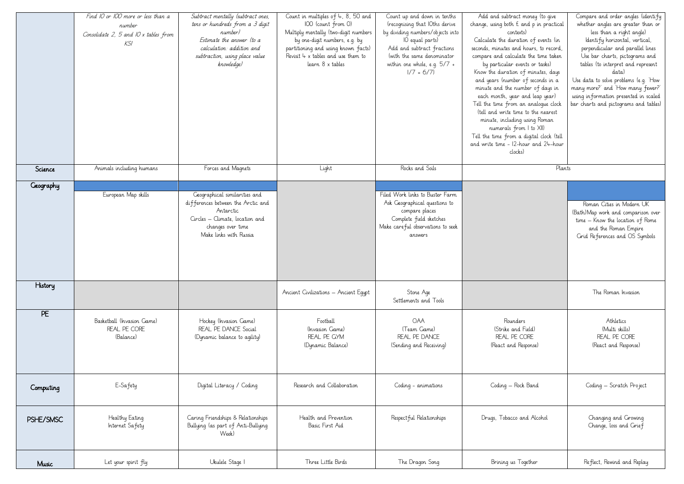|           | Find 10 or 100 more or less than a<br>number<br>Consolidate 2, 5 and IO x tables from<br>KSI | Subtract mentally (subtract ones,<br>tens or hundreds from a 3 digit<br>number)<br>Estimate the answer (to a<br>calculation: addition and<br>subtraction, using place value<br>knowledge) | Count in multiples of $4, 8, 50$ and<br>100 (count from 0)<br>Multiply mentally (two-digit numbers<br>by one-digit numbers, e.g. by<br>partitioning and using known facts)<br>Revisit $4 \times$ tables and use them to<br>learn 8 x tables | Count up and down in tenths<br>(recognising that IOths derive<br>by dividing numbers/objects into<br>IO equal parts)<br>Add and subtract fractions<br>(with the same denominator<br>within one whole, e.g. $5/7$ +<br>$1/7 = 6/7$ | Add and subtract money (to give<br>change, using both $f$ and p in practical<br>contexts)<br>Calculate the duration of events (in<br>seconds, minutes and hours, to record,<br>compare and calculate the time taken<br>by particular events or tasks)<br>Know the duration of minutes, days<br>and years (number of seconds in a<br>minute and the number of days in<br>each month, year and leap year)<br>Tell the time from an analogue clock<br>(tell and write time to the nearest<br>minute, including using Roman<br>numerals from I to XII)<br>Tell the time from a digital clock (tell<br>and write time - 12-hour and 24-hour<br>clocks) | Compare and order angles lidentify<br>whether angles are greater than or<br>less than a right angle)<br>Identify horizontal, vertical,<br>perpendicular and parallel lines<br>Use bar charts, pictograms and<br>tables (to interpret and represent<br>d.a.t.a.)<br>Use data to solve problems (e.g. 'How<br>many more?' and 'How many fewer?'<br>using information presented in scaled<br>bar charts and pictograms and tables) |
|-----------|----------------------------------------------------------------------------------------------|-------------------------------------------------------------------------------------------------------------------------------------------------------------------------------------------|---------------------------------------------------------------------------------------------------------------------------------------------------------------------------------------------------------------------------------------------|-----------------------------------------------------------------------------------------------------------------------------------------------------------------------------------------------------------------------------------|---------------------------------------------------------------------------------------------------------------------------------------------------------------------------------------------------------------------------------------------------------------------------------------------------------------------------------------------------------------------------------------------------------------------------------------------------------------------------------------------------------------------------------------------------------------------------------------------------------------------------------------------------|---------------------------------------------------------------------------------------------------------------------------------------------------------------------------------------------------------------------------------------------------------------------------------------------------------------------------------------------------------------------------------------------------------------------------------|
| Science   | Animals including humans                                                                     | Forces and Magnets                                                                                                                                                                        | Light                                                                                                                                                                                                                                       | Rocks and Soils                                                                                                                                                                                                                   | Plants                                                                                                                                                                                                                                                                                                                                                                                                                                                                                                                                                                                                                                            |                                                                                                                                                                                                                                                                                                                                                                                                                                 |
| Geography | European Map skills                                                                          | Geographical similarities and<br>differences between the Arctic and<br>Antarctic<br>Circles – Climate, location and<br>changes over time<br>Make links with Russia                        |                                                                                                                                                                                                                                             | Filed Work links to Buster Farm<br>Ask Geographical questions to<br>compare places<br>Complete field sketches<br>Make careful observations to seek<br>answers                                                                     |                                                                                                                                                                                                                                                                                                                                                                                                                                                                                                                                                                                                                                                   | Roman Cities in Modern UK<br>(Bath)Map work and comparison over<br>time – Know the location of Rome<br>and the Roman Empire<br>Grid References and OS Symbols                                                                                                                                                                                                                                                                   |
| History   |                                                                                              |                                                                                                                                                                                           | Ancient Civilizations - Ancient Equpt                                                                                                                                                                                                       | Stone Age<br>Settlements and Tools                                                                                                                                                                                                |                                                                                                                                                                                                                                                                                                                                                                                                                                                                                                                                                                                                                                                   | The Roman Invasion                                                                                                                                                                                                                                                                                                                                                                                                              |
| PE        | Basketball (Invasion Game)<br>REAL PE CORE<br>(Balance)                                      | Hockey (Invasion Game)<br>REAL PE DANCE Social<br>(Dynamic balance to agility)                                                                                                            | Football<br>(Invasion Game)<br>REAL PE GYM<br>(Dynamic Balance)                                                                                                                                                                             | <b>OAA</b><br>(Team Game)<br>REAL PE DANCE<br>(Sending and Receiving)                                                                                                                                                             | Rounders<br>(Strike and Field)<br>REAL PE CORE<br>(React and Response)                                                                                                                                                                                                                                                                                                                                                                                                                                                                                                                                                                            | Athletics<br>(Multi skills)<br>REAL PE CORE<br>(React and Response)                                                                                                                                                                                                                                                                                                                                                             |
| Computing | E-Safety                                                                                     | Digital Literacy / Coding                                                                                                                                                                 | Research and Collaboration                                                                                                                                                                                                                  | Coding - animations                                                                                                                                                                                                               | Coding – Rock Band                                                                                                                                                                                                                                                                                                                                                                                                                                                                                                                                                                                                                                | Coding – Scratch Project                                                                                                                                                                                                                                                                                                                                                                                                        |
| PSHE/SMSC | Healthy Eating<br>Internet Safety                                                            | Caring Friendships & Relationships<br>Bullying (as part of Anti-Bullying<br>Week)                                                                                                         | Health and Prevention<br>Basic First Aid                                                                                                                                                                                                    | Respect ful Relationships                                                                                                                                                                                                         | Drugs, Tobacco and Alcohol                                                                                                                                                                                                                                                                                                                                                                                                                                                                                                                                                                                                                        | Changing and Growing<br>Change, loss and Crief                                                                                                                                                                                                                                                                                                                                                                                  |
| Music     | Let your spirit fly                                                                          | Ukulele Stage I                                                                                                                                                                           | Three Little Birds                                                                                                                                                                                                                          | The Dragon Song                                                                                                                                                                                                                   | Brining us Together                                                                                                                                                                                                                                                                                                                                                                                                                                                                                                                                                                                                                               | Reflect, Rewind and Replay                                                                                                                                                                                                                                                                                                                                                                                                      |